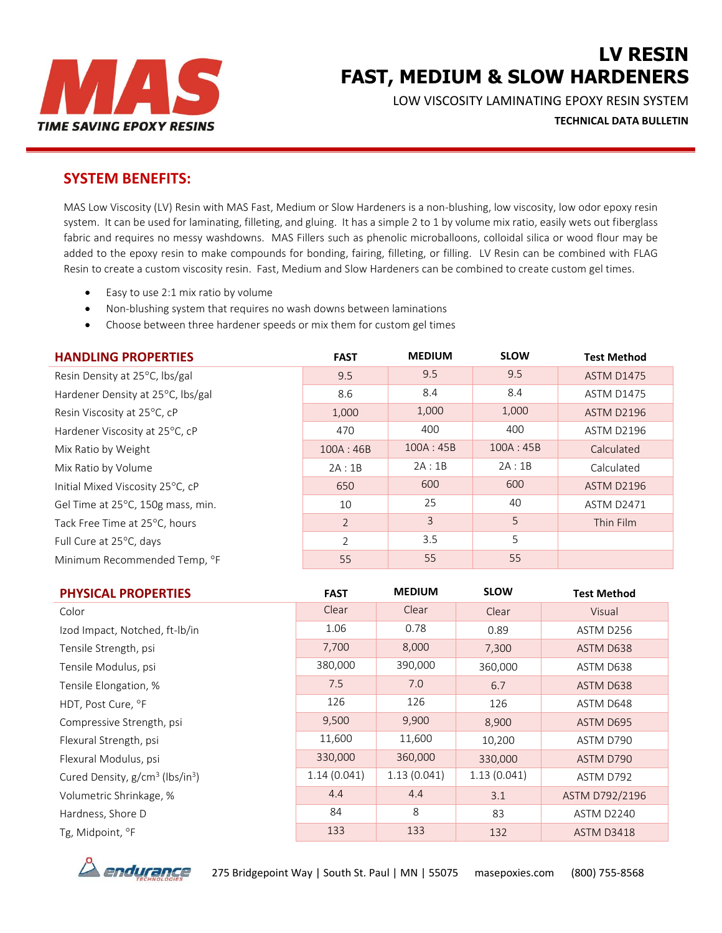

# **LV RESIN FAST, MEDIUM & SLOW HARDENERS**

LOW VISCOSITY LAMINATING EPOXY RESIN SYSTEM

**TECHNICAL DATA BULLETIN** 

## **SYSTEM BENEFITS:**

MAS Low Viscosity (LV) Resin with MAS Fast, Medium or Slow Hardeners is a non-blushing, low viscosity, low odor epoxy resin system. It can be used for laminating, filleting, and gluing. It has a simple 2 to 1 by volume mix ratio, easily wets out fiberglass fabric and requires no messy washdowns. MAS Fillers such as phenolic microballoons, colloidal silica or wood flour may be added to the epoxy resin to make compounds for bonding, fairing, filleting, or filling. LV Resin can be combined with FLAG Resin to create a custom viscosity resin. Fast, Medium and Slow Hardeners can be combined to create custom gel times.

- Easy to use 2:1 mix ratio by volume
- Non-blushing system that requires no wash downs between laminations
- Choose between three hardener speeds or mix them for custom gel times

| <b>HANDLING PROPERTIES</b>        | <b>FAST</b>    | <b>MEDIUM</b> | <b>SLOW</b> | <b>Test Method</b> |
|-----------------------------------|----------------|---------------|-------------|--------------------|
| Resin Density at 25°C, lbs/gal    | 9.5            | 9.5           | 9.5         | <b>ASTM D1475</b>  |
| Hardener Density at 25°C, lbs/gal | 8.6            | 8.4           | 8.4         | <b>ASTM D1475</b>  |
| Resin Viscosity at 25°C, cP       | 1,000          | 1,000         | 1,000       | <b>ASTM D2196</b>  |
| Hardener Viscosity at 25°C, cP    | 470            | 400           | 400         | <b>ASTM D2196</b>  |
| Mix Ratio by Weight               | 100A: 46B      | 100A:45B      | 100A:45B    | Calculated         |
| Mix Ratio by Volume               | 2A:1B          | 2A:1B         | 2A:1B       | Calculated         |
| Initial Mixed Viscosity 25°C, cP  | 650            | 600           | 600         | <b>ASTM D2196</b>  |
| Gel Time at 25°C, 150g mass, min. | 10             | 25            | 40          | <b>ASTM D2471</b>  |
| Tack Free Time at 25°C, hours     | $\overline{2}$ | 3             | 5           | Thin Film          |
| Full Cure at 25°C, days           | 2              | 3.5           | 5           |                    |
| Minimum Recommended Temp, °F      | 55             | 55            | 55          |                    |

| <b>PHYSICAL PROPERTIES</b>                              | <b>FAST</b> | <b>MEDIUM</b> | <b>SLOW</b> | <b>Test Method</b> |
|---------------------------------------------------------|-------------|---------------|-------------|--------------------|
| Color                                                   | Clear       | Clear         | Clear       | Visual             |
| Izod Impact, Notched, ft-Ib/in                          | 1.06        | 0.78          | 0.89        | ASTM D256          |
| Tensile Strength, psi                                   | 7,700       | 8,000         | 7,300       | ASTM D638          |
| Tensile Modulus, psi                                    | 380,000     | 390,000       | 360,000     | ASTM D638          |
| Tensile Elongation, %                                   | 7.5         | 7.0           | 6.7         | ASTM D638          |
| HDT, Post Cure, °F                                      | 126         | 126           | 126         | ASTM D648          |
| Compressive Strength, psi                               | 9,500       | 9,900         | 8,900       | ASTM D695          |
| Flexural Strength, psi                                  | 11,600      | 11,600        | 10,200      | ASTM D790          |
| Flexural Modulus, psi                                   | 330,000     | 360,000       | 330,000     | ASTM D790          |
| Cured Density, g/cm <sup>3</sup> (lbs/in <sup>3</sup> ) | 1.14(0.041) | 1.13(0.041)   | 1.13(0.041) | ASTM D792          |
| Volumetric Shrinkage, %                                 | 4.4         | 4.4           | 3.1         | ASTM D792/2196     |
| Hardness, Shore D                                       | 84          | 8             | 83          | ASTM D2240         |
| Tg, Midpoint, °F                                        | 133         | 133           | 132         | ASTM D3418         |



275 Bridgepoint Way | South St. Paul | MN | 55075 masepoxies.com (800) 755-8568